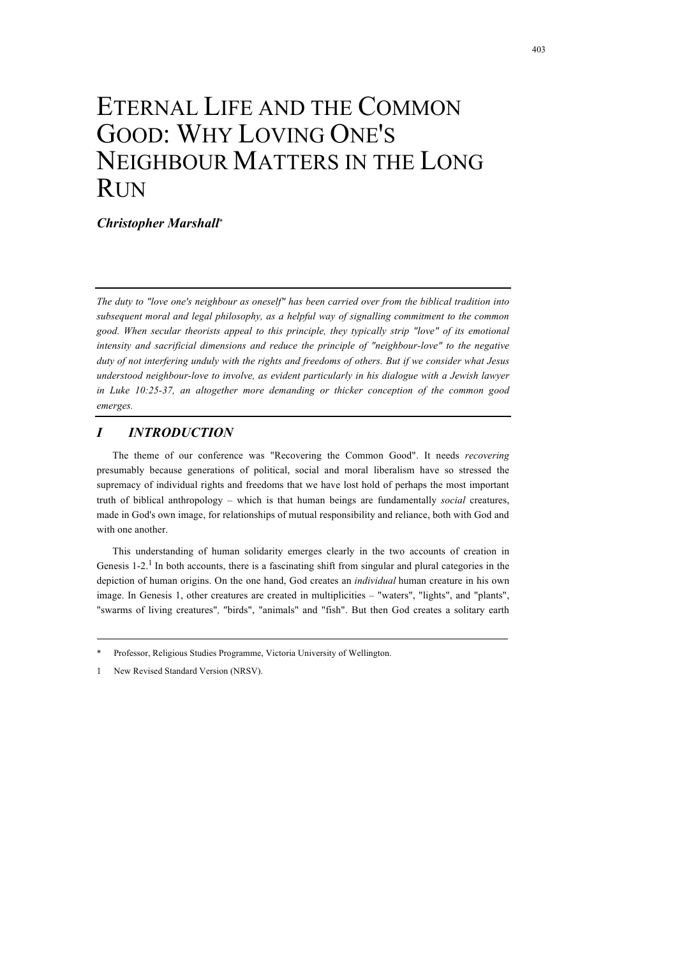# ETERNAL LIFE AND THE COMMON GOOD: WHY LOVING ONE'S NEIGHBOUR MATTERS IN THE LONG RUN

*Christopher Marshall*\*

*The duty to "love one's neighbour as oneself" has been carried over from the biblical tradition into subsequent moral and legal philosophy, as a helpful way of signalling commitment to the common good. When secular theorists appeal to this principle, they typically strip "love" of its emotional intensity and sacrificial dimensions and reduce the principle of "neighbour-love" to the negative duty of not interfering unduly with the rights and freedoms of others. But if we consider what Jesus understood neighbour-love to involve, as evident particularly in his dialogue with a Jewish lawyer in Luke 10:25-37, an altogether more demanding or thicker conception of the common good emerges.*

# *I INTRODUCTION*

The theme of our conference was "Recovering the Common Good". It needs *recovering* presumably because generations of political, social and moral liberalism have so stressed the supremacy of individual rights and freedoms that we have lost hold of perhaps the most important truth of biblical anthropology – which is that human beings are fundamentally *social* creatures, made in God's own image, for relationships of mutual responsibility and reliance, both with God and with one another.

This understanding of human solidarity emerges clearly in the two accounts of creation in Genesis  $1-2<sup>1</sup>$  In both accounts, there is a fascinating shift from singular and plural categories in the depiction of human origins. On the one hand, God creates an *individual* human creature in his own image. In Genesis 1, other creatures are created in multiplicities – "waters", "lights", and "plants", "swarms of living creatures"*,* "birds", "animals" and "fish". But then God creates a solitary earth

1 New Revised Standard Version (NRSV).

Professor, Religious Studies Programme, Victoria University of Wellington.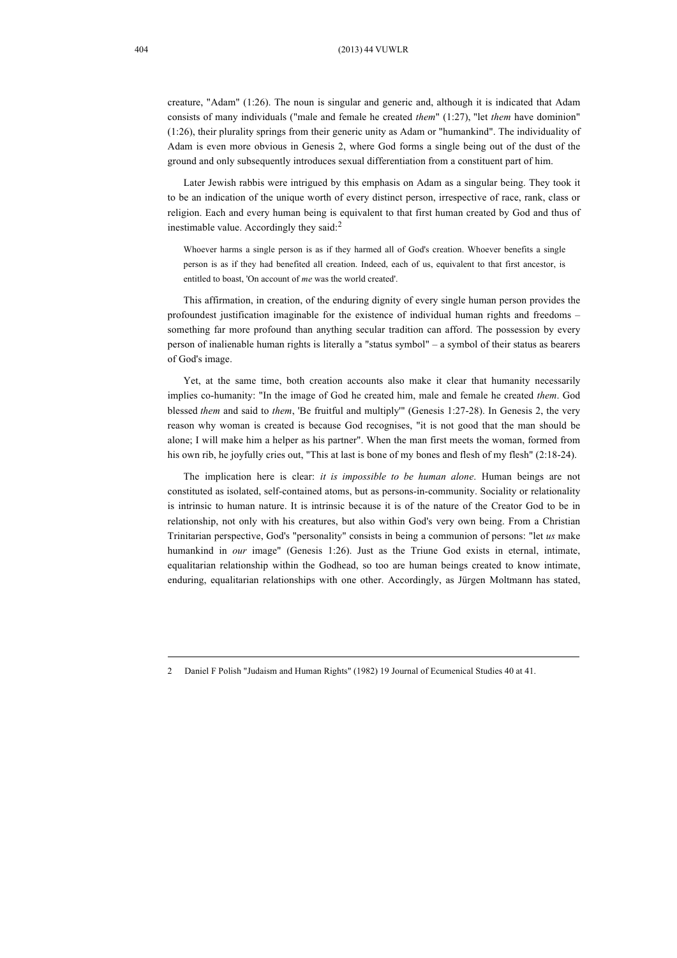creature, "Adam" (1:26). The noun is singular and generic and, although it is indicated that Adam consists of many individuals ("male and female he created *them*" (1:27), "let *them* have dominion" (1:26), their plurality springs from their generic unity as Adam or "humankind". The individuality of Adam is even more obvious in Genesis 2, where God forms a single being out of the dust of the ground and only subsequently introduces sexual differentiation from a constituent part of him.

Later Jewish rabbis were intrigued by this emphasis on Adam as a singular being. They took it to be an indication of the unique worth of every distinct person, irrespective of race, rank, class or religion. Each and every human being is equivalent to that first human created by God and thus of inestimable value. Accordingly they said:<sup>2</sup>

Whoever harms a single person is as if they harmed all of God's creation. Whoever benefits a single person is as if they had benefited all creation. Indeed, each of us, equivalent to that first ancestor, is entitled to boast, 'On account of *me* was the world created'.

This affirmation, in creation, of the enduring dignity of every single human person provides the profoundest justification imaginable for the existence of individual human rights and freedoms – something far more profound than anything secular tradition can afford. The possession by every person of inalienable human rights is literally a "status symbol" – a symbol of their status as bearers of God's image.

Yet, at the same time, both creation accounts also make it clear that humanity necessarily implies co-humanity: "In the image of God he created him, male and female he created *them*. God blessed *them* and said to *them*, 'Be fruitful and multiply'" (Genesis 1:27-28). In Genesis 2, the very reason why woman is created is because God recognises, "it is not good that the man should be alone; I will make him a helper as his partner". When the man first meets the woman, formed from his own rib, he joyfully cries out, "This at last is bone of my bones and flesh of my flesh" (2:18-24).

The implication here is clear: *it is impossible to be human alone*. Human beings are not constituted as isolated, self-contained atoms, but as persons-in-community. Sociality or relationality is intrinsic to human nature. It is intrinsic because it is of the nature of the Creator God to be in relationship, not only with his creatures, but also within God's very own being. From a Christian Trinitarian perspective, God's "personality" consists in being a communion of persons: "let *us* make humankind in *our* image" (Genesis 1:26). Just as the Triune God exists in eternal, intimate, equalitarian relationship within the Godhead, so too are human beings created to know intimate, enduring, equalitarian relationships with one other. Accordingly, as Jürgen Moltmann has stated,

<sup>2</sup> Daniel F Polish "Judaism and Human Rights" (1982) 19 Journal of Ecumenical Studies 40 at 41.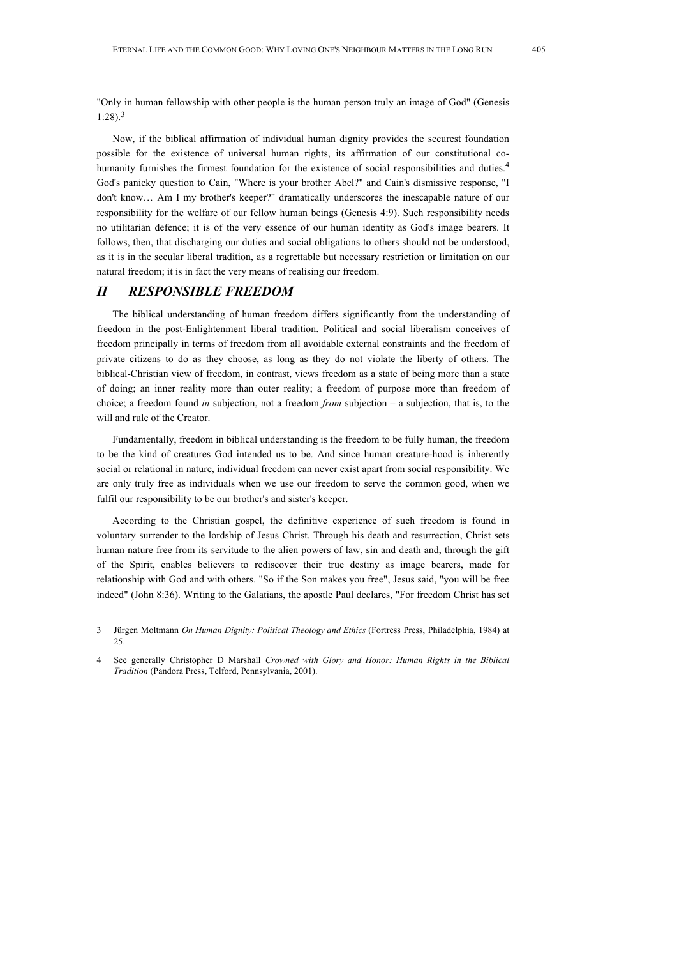"Only in human fellowship with other people is the human person truly an image of God" (Genesis 1:28). 3

Now, if the biblical affirmation of individual human dignity provides the securest foundation possible for the existence of universal human rights, its affirmation of our constitutional cohumanity furnishes the firmest foundation for the existence of social responsibilities and duties.<sup>4</sup> God's panicky question to Cain, "Where is your brother Abel?" and Cain's dismissive response, "I don't know… Am I my brother's keeper?" dramatically underscores the inescapable nature of our responsibility for the welfare of our fellow human beings (Genesis 4:9). Such responsibility needs no utilitarian defence; it is of the very essence of our human identity as God's image bearers. It follows, then, that discharging our duties and social obligations to others should not be understood, as it is in the secular liberal tradition, as a regrettable but necessary restriction or limitation on our natural freedom; it is in fact the very means of realising our freedom.

# *II RESPONSIBLE FREEDOM*

The biblical understanding of human freedom differs significantly from the understanding of freedom in the post-Enlightenment liberal tradition. Political and social liberalism conceives of freedom principally in terms of freedom from all avoidable external constraints and the freedom of private citizens to do as they choose, as long as they do not violate the liberty of others. The biblical-Christian view of freedom, in contrast, views freedom as a state of being more than a state of doing; an inner reality more than outer reality; a freedom of purpose more than freedom of choice; a freedom found *in* subjection, not a freedom *from* subjection – a subjection, that is, to the will and rule of the Creator.

Fundamentally, freedom in biblical understanding is the freedom to be fully human, the freedom to be the kind of creatures God intended us to be. And since human creature-hood is inherently social or relational in nature, individual freedom can never exist apart from social responsibility. We are only truly free as individuals when we use our freedom to serve the common good, when we fulfil our responsibility to be our brother's and sister's keeper.

According to the Christian gospel, the definitive experience of such freedom is found in voluntary surrender to the lordship of Jesus Christ. Through his death and resurrection, Christ sets human nature free from its servitude to the alien powers of law, sin and death and, through the gift of the Spirit, enables believers to rediscover their true destiny as image bearers, made for relationship with God and with others. "So if the Son makes you free", Jesus said, "you will be free indeed" (John 8:36). Writing to the Galatians, the apostle Paul declares, "For freedom Christ has set

<sup>3</sup> Jürgen Moltmann *On Human Dignity: Political Theology and Ethics* (Fortress Press, Philadelphia, 1984) at 25.

<sup>4</sup> See generally Christopher D Marshall *Crowned with Glory and Honor: Human Rights in the Biblical Tradition* (Pandora Press, Telford, Pennsylvania, 2001).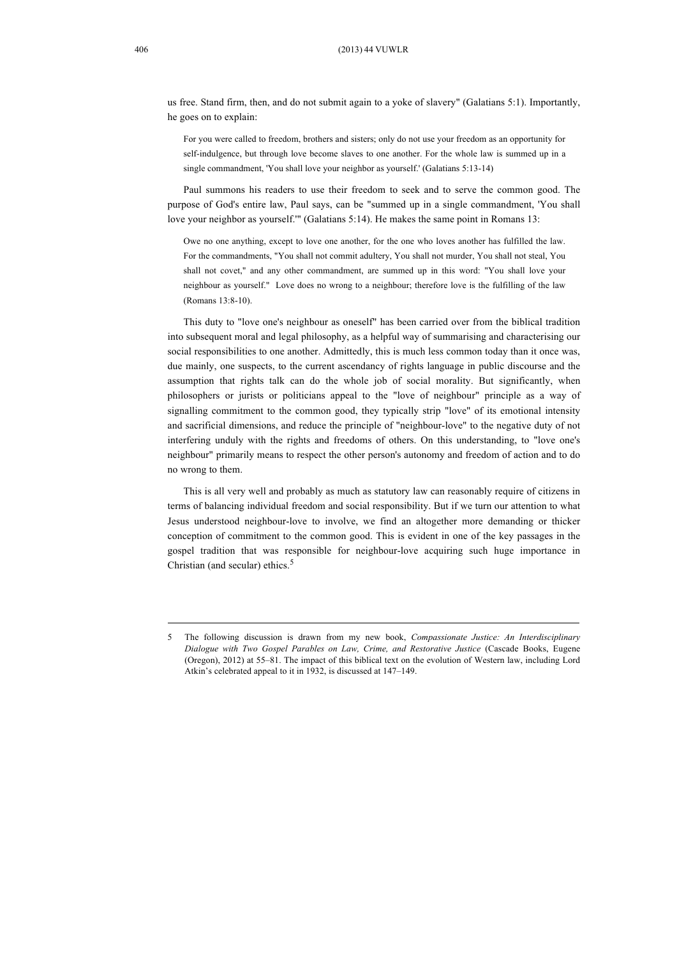us free. Stand firm, then, and do not submit again to a yoke of slavery" (Galatians 5:1). Importantly, he goes on to explain:

For you were called to freedom, brothers and sisters; only do not use your freedom as an opportunity for self-indulgence, but through love become slaves to one another. For the whole law is summed up in a single commandment, 'You shall love your neighbor as yourself.' (Galatians 5:13-14)

Paul summons his readers to use their freedom to seek and to serve the common good. The purpose of God's entire law, Paul says, can be "summed up in a single commandment, 'You shall love your neighbor as yourself.'" (Galatians 5:14). He makes the same point in Romans 13:

Owe no one anything, except to love one another, for the one who loves another has fulfilled the law. For the commandments, "You shall not commit adultery, You shall not murder, You shall not steal, You shall not covet," and any other commandment, are summed up in this word: "You shall love your neighbour as yourself." Love does no wrong to a neighbour; therefore love is the fulfilling of the law (Romans 13:8-10).

This duty to "love one's neighbour as oneself" has been carried over from the biblical tradition into subsequent moral and legal philosophy, as a helpful way of summarising and characterising our social responsibilities to one another. Admittedly, this is much less common today than it once was, due mainly, one suspects, to the current ascendancy of rights language in public discourse and the assumption that rights talk can do the whole job of social morality. But significantly, when philosophers or jurists or politicians appeal to the "love of neighbour" principle as a way of signalling commitment to the common good, they typically strip "love" of its emotional intensity and sacrificial dimensions, and reduce the principle of "neighbour-love" to the negative duty of not interfering unduly with the rights and freedoms of others. On this understanding, to "love one's neighbour" primarily means to respect the other person's autonomy and freedom of action and to do no wrong to them.

This is all very well and probably as much as statutory law can reasonably require of citizens in terms of balancing individual freedom and social responsibility. But if we turn our attention to what Jesus understood neighbour-love to involve, we find an altogether more demanding or thicker conception of commitment to the common good. This is evident in one of the key passages in the gospel tradition that was responsible for neighbour-love acquiring such huge importance in Christian (and secular) ethics.<sup>5</sup>

<sup>5</sup> The following discussion is drawn from my new book, *Compassionate Justice: An Interdisciplinary Dialogue with Two Gospel Parables on Law, Crime, and Restorative Justice* (Cascade Books, Eugene (Oregon), 2012) at 55–81. The impact of this biblical text on the evolution of Western law, including Lord Atkin's celebrated appeal to it in 1932, is discussed at 147–149.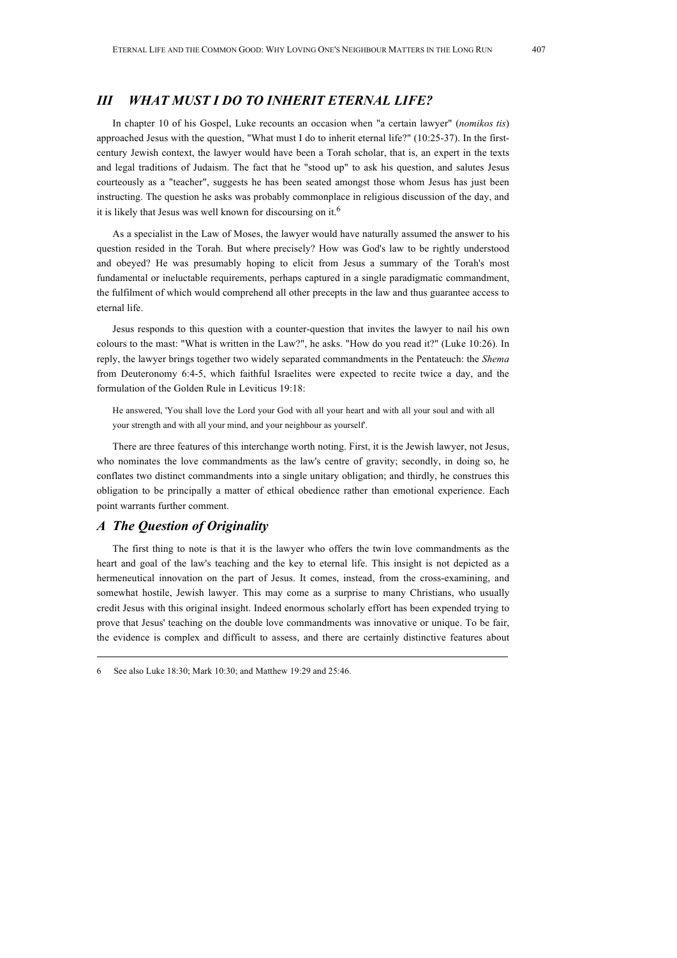## *III WHAT MUST I DO TO INHERIT ETERNAL LIFE?*

In chapter 10 of his Gospel, Luke recounts an occasion when "a certain lawyer" (*nomikos tis*) approached Jesus with the question, "What must I do to inherit eternal life?" (10:25-37). In the firstcentury Jewish context, the lawyer would have been a Torah scholar, that is, an expert in the texts and legal traditions of Judaism. The fact that he "stood up" to ask his question, and salutes Jesus courteously as a "teacher", suggests he has been seated amongst those whom Jesus has just been instructing. The question he asks was probably commonplace in religious discussion of the day, and it is likely that Jesus was well known for discoursing on it.<sup>6</sup>

As a specialist in the Law of Moses, the lawyer would have naturally assumed the answer to his question resided in the Torah. But where precisely? How was God's law to be rightly understood and obeyed? He was presumably hoping to elicit from Jesus a summary of the Torah's most fundamental or ineluctable requirements, perhaps captured in a single paradigmatic commandment, the fulfilment of which would comprehend all other precepts in the law and thus guarantee access to eternal life.

Jesus responds to this question with a counter-question that invites the lawyer to nail his own colours to the mast: "What is written in the Law?", he asks. "How do you read it?" (Luke 10:26). In reply, the lawyer brings together two widely separated commandments in the Pentateuch: the *Shema*  from Deuteronomy 6:4-5, which faithful Israelites were expected to recite twice a day, and the formulation of the Golden Rule in Leviticus 19:18:

He answered, 'You shall love the Lord your God with all your heart and with all your soul and with all your strength and with all your mind, and your neighbour as yourself'.

There are three features of this interchange worth noting. First, it is the Jewish lawyer, not Jesus, who nominates the love commandments as the law's centre of gravity; secondly, in doing so, he conflates two distinct commandments into a single unitary obligation; and thirdly, he construes this obligation to be principally a matter of ethical obedience rather than emotional experience. Each point warrants further comment.

## *A The Question of Originality*

The first thing to note is that it is the lawyer who offers the twin love commandments as the heart and goal of the law's teaching and the key to eternal life. This insight is not depicted as a hermeneutical innovation on the part of Jesus. It comes, instead, from the cross-examining, and somewhat hostile, Jewish lawyer. This may come as a surprise to many Christians, who usually credit Jesus with this original insight. Indeed enormous scholarly effort has been expended trying to prove that Jesus' teaching on the double love commandments was innovative or unique. To be fair, the evidence is complex and difficult to assess, and there are certainly distinctive features about

<sup>6</sup> See also Luke 18:30; Mark 10:30; and Matthew 19:29 and 25:46.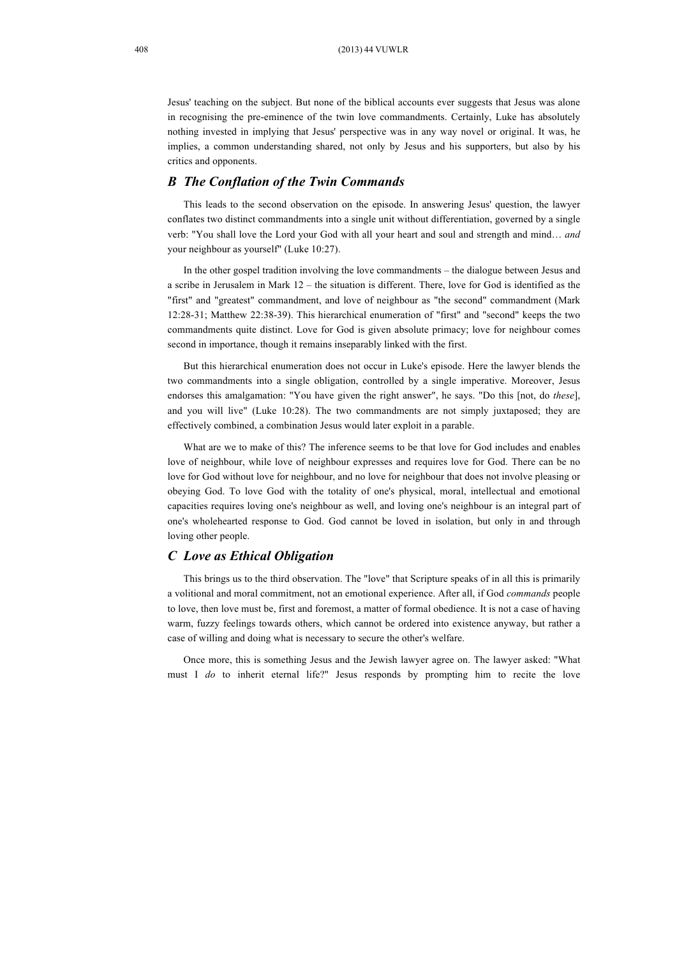Jesus' teaching on the subject. But none of the biblical accounts ever suggests that Jesus was alone in recognising the pre-eminence of the twin love commandments. Certainly, Luke has absolutely nothing invested in implying that Jesus' perspective was in any way novel or original. It was, he implies, a common understanding shared, not only by Jesus and his supporters, but also by his critics and opponents.

#### *B The Conflation of the Twin Commands*

This leads to the second observation on the episode. In answering Jesus' question, the lawyer conflates two distinct commandments into a single unit without differentiation, governed by a single verb: "You shall love the Lord your God with all your heart and soul and strength and mind… *and* your neighbour as yourself" (Luke 10:27).

In the other gospel tradition involving the love commandments – the dialogue between Jesus and a scribe in Jerusalem in Mark 12 – the situation is different. There, love for God is identified as the "first" and "greatest" commandment, and love of neighbour as "the second" commandment (Mark 12:28-31; Matthew 22:38-39). This hierarchical enumeration of "first" and "second" keeps the two commandments quite distinct. Love for God is given absolute primacy; love for neighbour comes second in importance, though it remains inseparably linked with the first.

But this hierarchical enumeration does not occur in Luke's episode. Here the lawyer blends the two commandments into a single obligation, controlled by a single imperative. Moreover, Jesus endorses this amalgamation: "You have given the right answer", he says. "Do this [not, do *these*], and you will live" (Luke 10:28). The two commandments are not simply juxtaposed; they are effectively combined, a combination Jesus would later exploit in a parable.

What are we to make of this? The inference seems to be that love for God includes and enables love of neighbour, while love of neighbour expresses and requires love for God. There can be no love for God without love for neighbour, and no love for neighbour that does not involve pleasing or obeying God. To love God with the totality of one's physical, moral, intellectual and emotional capacities requires loving one's neighbour as well, and loving one's neighbour is an integral part of one's wholehearted response to God. God cannot be loved in isolation, but only in and through loving other people.

#### *C Love as Ethical Obligation*

This brings us to the third observation. The "love" that Scripture speaks of in all this is primarily a volitional and moral commitment, not an emotional experience. After all, if God *commands* people to love, then love must be, first and foremost, a matter of formal obedience. It is not a case of having warm, fuzzy feelings towards others, which cannot be ordered into existence anyway, but rather a case of willing and doing what is necessary to secure the other's welfare.

Once more, this is something Jesus and the Jewish lawyer agree on. The lawyer asked: "What must I *do* to inherit eternal life?" Jesus responds by prompting him to recite the love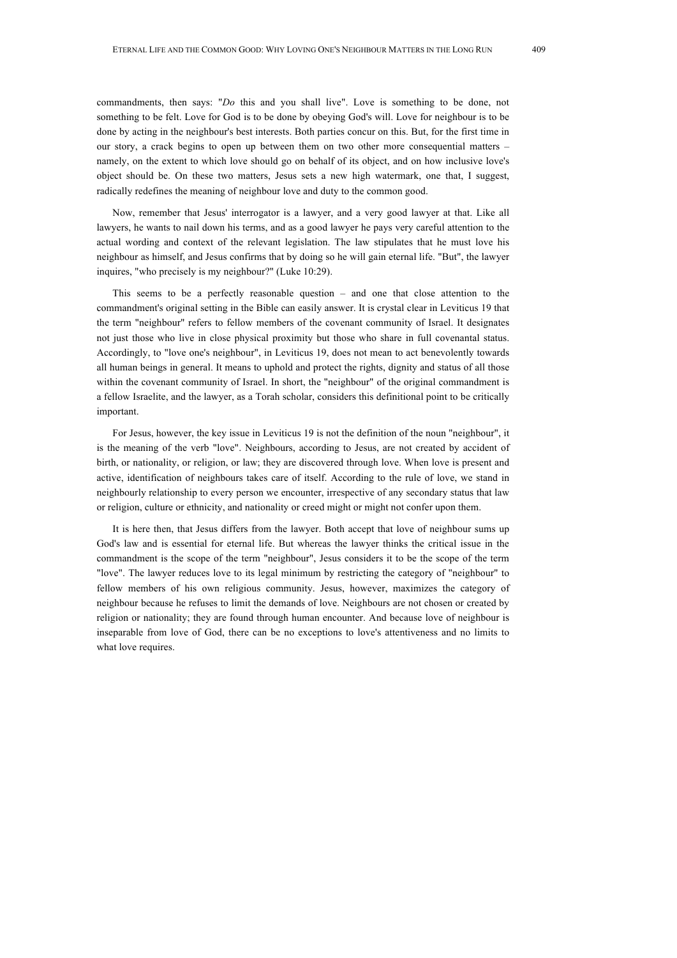commandments, then says: "*Do* this and you shall live". Love is something to be done, not something to be felt. Love for God is to be done by obeying God's will. Love for neighbour is to be done by acting in the neighbour's best interests. Both parties concur on this. But, for the first time in our story, a crack begins to open up between them on two other more consequential matters – namely, on the extent to which love should go on behalf of its object, and on how inclusive love's object should be. On these two matters, Jesus sets a new high watermark, one that, I suggest, radically redefines the meaning of neighbour love and duty to the common good.

Now, remember that Jesus' interrogator is a lawyer, and a very good lawyer at that. Like all lawyers, he wants to nail down his terms, and as a good lawyer he pays very careful attention to the actual wording and context of the relevant legislation. The law stipulates that he must love his neighbour as himself, and Jesus confirms that by doing so he will gain eternal life. "But", the lawyer inquires, "who precisely is my neighbour?" (Luke 10:29).

This seems to be a perfectly reasonable question – and one that close attention to the commandment's original setting in the Bible can easily answer. It is crystal clear in Leviticus 19 that the term "neighbour" refers to fellow members of the covenant community of Israel. It designates not just those who live in close physical proximity but those who share in full covenantal status. Accordingly, to "love one's neighbour", in Leviticus 19, does not mean to act benevolently towards all human beings in general. It means to uphold and protect the rights, dignity and status of all those within the covenant community of Israel. In short, the "neighbour" of the original commandment is a fellow Israelite, and the lawyer, as a Torah scholar, considers this definitional point to be critically important.

For Jesus, however, the key issue in Leviticus 19 is not the definition of the noun "neighbour", it is the meaning of the verb "love". Neighbours, according to Jesus, are not created by accident of birth, or nationality, or religion, or law; they are discovered through love. When love is present and active, identification of neighbours takes care of itself. According to the rule of love, we stand in neighbourly relationship to every person we encounter, irrespective of any secondary status that law or religion, culture or ethnicity, and nationality or creed might or might not confer upon them.

It is here then, that Jesus differs from the lawyer. Both accept that love of neighbour sums up God's law and is essential for eternal life. But whereas the lawyer thinks the critical issue in the commandment is the scope of the term "neighbour", Jesus considers it to be the scope of the term "love". The lawyer reduces love to its legal minimum by restricting the category of "neighbour" to fellow members of his own religious community. Jesus, however, maximizes the category of neighbour because he refuses to limit the demands of love. Neighbours are not chosen or created by religion or nationality; they are found through human encounter. And because love of neighbour is inseparable from love of God, there can be no exceptions to love's attentiveness and no limits to what love requires.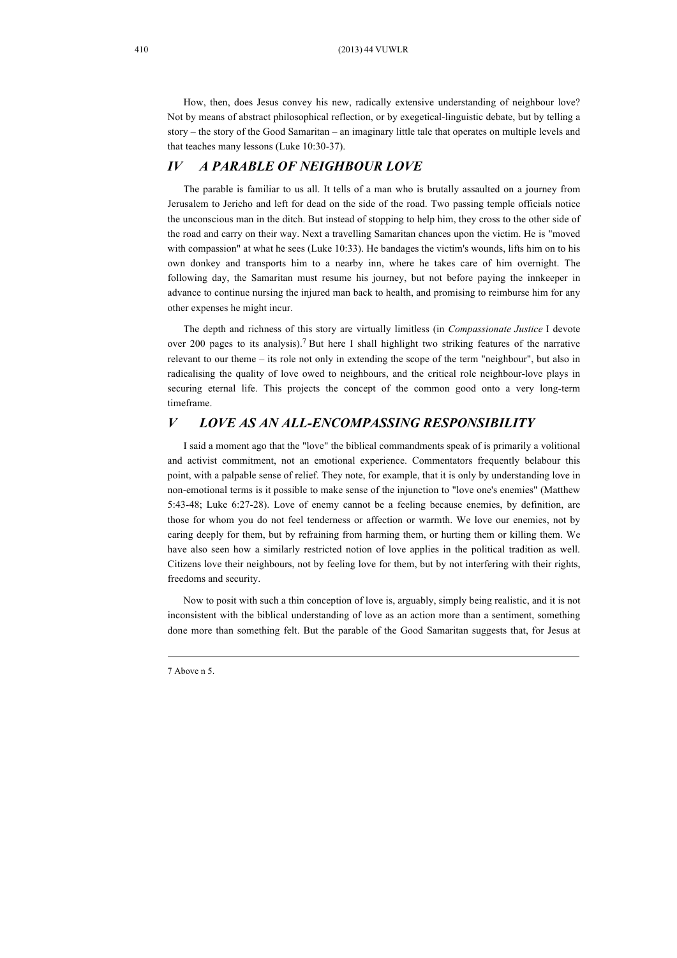How, then, does Jesus convey his new, radically extensive understanding of neighbour love? Not by means of abstract philosophical reflection, or by exegetical-linguistic debate, but by telling a story – the story of the Good Samaritan – an imaginary little tale that operates on multiple levels and that teaches many lessons (Luke 10:30-37).

## *IV A PARABLE OF NEIGHBOUR LOVE*

The parable is familiar to us all. It tells of a man who is brutally assaulted on a journey from Jerusalem to Jericho and left for dead on the side of the road. Two passing temple officials notice the unconscious man in the ditch. But instead of stopping to help him, they cross to the other side of the road and carry on their way. Next a travelling Samaritan chances upon the victim. He is "moved with compassion" at what he sees (Luke 10:33). He bandages the victim's wounds, lifts him on to his own donkey and transports him to a nearby inn, where he takes care of him overnight. The following day, the Samaritan must resume his journey, but not before paying the innkeeper in advance to continue nursing the injured man back to health, and promising to reimburse him for any other expenses he might incur.

The depth and richness of this story are virtually limitless (in *Compassionate Justice* I devote over 200 pages to its analysis).<sup>7</sup> But here I shall highlight two striking features of the narrative relevant to our theme – its role not only in extending the scope of the term "neighbour", but also in radicalising the quality of love owed to neighbours, and the critical role neighbour-love plays in securing eternal life. This projects the concept of the common good onto a very long-term timeframe.

## *V LOVE AS AN ALL-ENCOMPASSING RESPONSIBILITY*

I said a moment ago that the "love" the biblical commandments speak of is primarily a volitional and activist commitment, not an emotional experience. Commentators frequently belabour this point, with a palpable sense of relief. They note, for example, that it is only by understanding love in non-emotional terms is it possible to make sense of the injunction to "love one's enemies" (Matthew 5:43-48; Luke 6:27-28). Love of enemy cannot be a feeling because enemies, by definition, are those for whom you do not feel tenderness or affection or warmth. We love our enemies, not by caring deeply for them, but by refraining from harming them, or hurting them or killing them. We have also seen how a similarly restricted notion of love applies in the political tradition as well. Citizens love their neighbours, not by feeling love for them, but by not interfering with their rights, freedoms and security.

Now to posit with such a thin conception of love is, arguably, simply being realistic, and it is not inconsistent with the biblical understanding of love as an action more than a sentiment, something done more than something felt. But the parable of the Good Samaritan suggests that, for Jesus at

<sup>7</sup> Above n 5.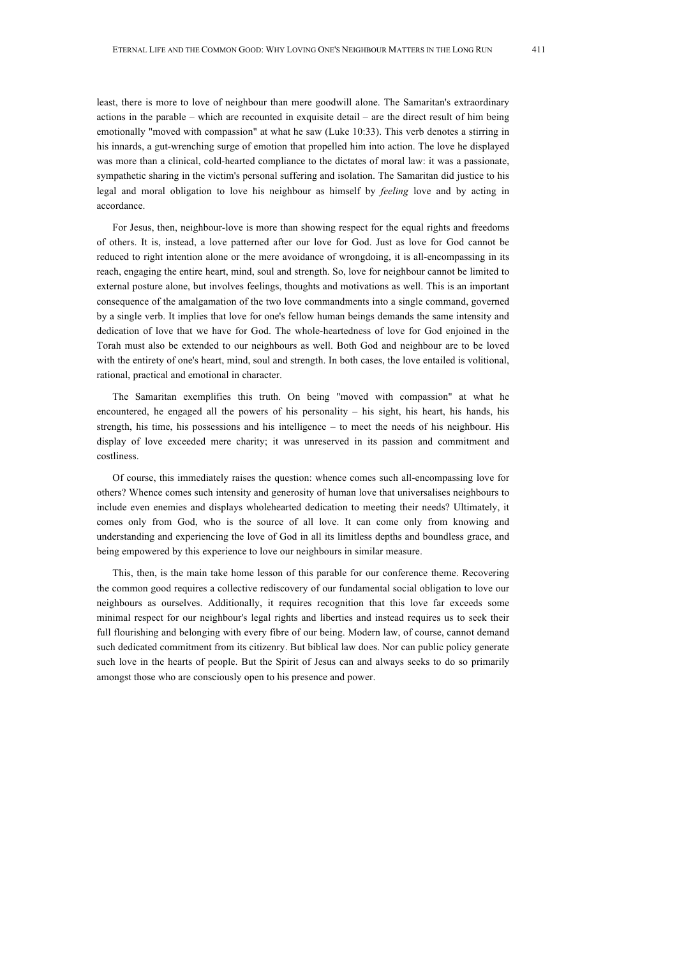least, there is more to love of neighbour than mere goodwill alone. The Samaritan's extraordinary actions in the parable – which are recounted in exquisite detail – are the direct result of him being emotionally "moved with compassion" at what he saw (Luke 10:33). This verb denotes a stirring in his innards, a gut-wrenching surge of emotion that propelled him into action. The love he displayed was more than a clinical, cold-hearted compliance to the dictates of moral law: it was a passionate, sympathetic sharing in the victim's personal suffering and isolation. The Samaritan did justice to his legal and moral obligation to love his neighbour as himself by *feeling* love and by acting in accordance.

For Jesus, then, neighbour-love is more than showing respect for the equal rights and freedoms of others. It is, instead, a love patterned after our love for God. Just as love for God cannot be reduced to right intention alone or the mere avoidance of wrongdoing, it is all-encompassing in its reach, engaging the entire heart, mind, soul and strength. So, love for neighbour cannot be limited to external posture alone, but involves feelings, thoughts and motivations as well. This is an important consequence of the amalgamation of the two love commandments into a single command, governed by a single verb. It implies that love for one's fellow human beings demands the same intensity and dedication of love that we have for God. The whole-heartedness of love for God enjoined in the Torah must also be extended to our neighbours as well. Both God and neighbour are to be loved with the entirety of one's heart, mind, soul and strength. In both cases, the love entailed is volitional, rational, practical and emotional in character.

The Samaritan exemplifies this truth. On being "moved with compassion" at what he encountered, he engaged all the powers of his personality – his sight, his heart, his hands, his strength, his time, his possessions and his intelligence – to meet the needs of his neighbour. His display of love exceeded mere charity; it was unreserved in its passion and commitment and costliness.

Of course, this immediately raises the question: whence comes such all-encompassing love for others? Whence comes such intensity and generosity of human love that universalises neighbours to include even enemies and displays wholehearted dedication to meeting their needs? Ultimately, it comes only from God, who is the source of all love. It can come only from knowing and understanding and experiencing the love of God in all its limitless depths and boundless grace, and being empowered by this experience to love our neighbours in similar measure.

This, then, is the main take home lesson of this parable for our conference theme. Recovering the common good requires a collective rediscovery of our fundamental social obligation to love our neighbours as ourselves. Additionally, it requires recognition that this love far exceeds some minimal respect for our neighbour's legal rights and liberties and instead requires us to seek their full flourishing and belonging with every fibre of our being. Modern law, of course, cannot demand such dedicated commitment from its citizenry. But biblical law does. Nor can public policy generate such love in the hearts of people. But the Spirit of Jesus can and always seeks to do so primarily amongst those who are consciously open to his presence and power.